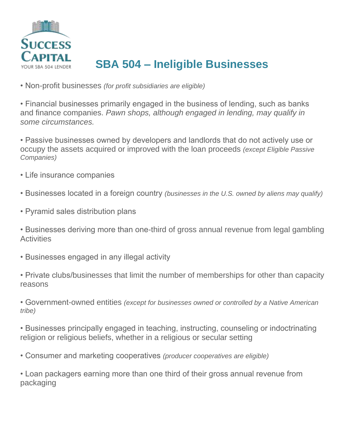

## **SBA 504 – Ineligible Businesses**

• Non-profit businesses *(for profit subsidiaries are eligible)*

• Financial businesses primarily engaged in the business of lending, such as banks and finance companies. *Pawn shops, although engaged in lending, may qualify in some circumstances.*

• Passive businesses owned by developers and landlords that do not actively use or occupy the assets acquired or improved with the loan proceeds *(except Eligible Passive Companies)*

- Life insurance companies
- Businesses located in a foreign country *(businesses in the U.S. owned by aliens may qualify)*
- Pyramid sales distribution plans

• Businesses deriving more than one-third of gross annual revenue from legal gambling **Activities** 

- Businesses engaged in any illegal activity
- Private clubs/businesses that limit the number of memberships for other than capacity reasons

• Government-owned entities *(except for businesses owned or controlled by a Native American tribe)*

• Businesses principally engaged in teaching, instructing, counseling or indoctrinating religion or religious beliefs, whether in a religious or secular setting

• Consumer and marketing cooperatives *(producer cooperatives are eligible)*

• Loan packagers earning more than one third of their gross annual revenue from packaging